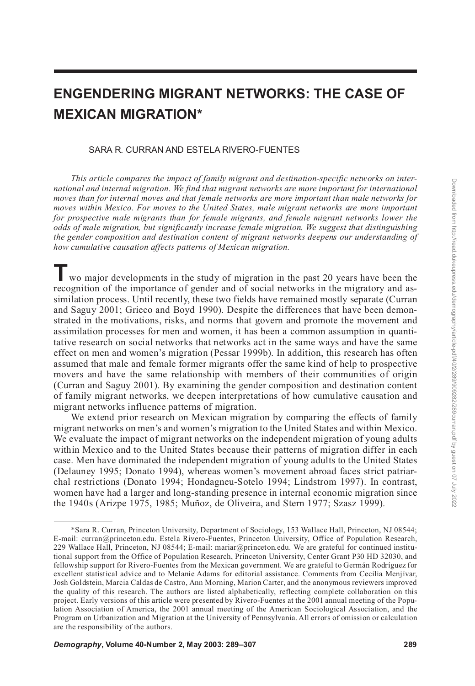# **ENGENDERING MIGRANT NETWORKS: THE CASE OF MEXICAN MIGRATION\***

#### SARA R. CURRAN AND ESTELA RIVERO-FUENTES

*This article compares the impact of family migrant and destination-specific networks on international and internal migration. We find that migrant networks are more important for international moves than for internal moves and that female networks are more important than male networks for moves within Mexico. For moves to the United States, male migrant networks are more important for prospective male migrants than for female migrants, and female migrant networks lower the odds of male migration, but significantly increase female migration. We suggest that distinguishing the gender composition and destination content of migrant networks deepens our understanding of how cumulative causation affects patterns of Mexican migration.*

**T** wo major developments in the study of migration in the past 20 years have been the recognition of the importance of gender and of social networks in the migratory and assimilation process. Until recently, these two fields have remained mostly separate (Curran and Saguy 2001; Grieco and Boyd 1990). Despite the differences that have been demonstrated in the motivations, risks, and norms that govern and promote the movement and assimilation processes for men and women, it has been a common assumption in quantitative research on social networks that networks act in the same ways and have the same effect on men and women's migration (Pessar 1999b). In addition, this research has often assumed that male and female former migrants offer the same kind of help to prospective movers and have the same relationship with members of their communities of origin (Curran and Saguy 2001). By examining the gender composition and destination content of family migrant networks, we deepen interpretations of how cumulative causation and migrant networks influence patterns of migration.

We extend prior research on Mexican migration by comparing the effects of family migrant networks on men's and women's migration to the United States and within Mexico. We evaluate the impact of migrant networks on the independent migration of young adults within Mexico and to the United States because their patterns of migration differ in each case. Men have dominated the independent migration of young adults to the United States (Delauney 1995; Donato 1994), whereas women's movement abroad faces strict patriarchal restrictions (Donato 1994; Hondagneu-Sotelo 1994; Lindstrom 1997). In contrast, women have had a larger and long-standing presence in internal economic migration since the 1940s (Arizpe 1975, 1985; Muñoz, de Oliveira, and Stern 1977; Szasz 1999).

<sup>\*</sup>Sara R. Curran, Princeton University, Department of Sociology, 153 Wallace Hall, Princeton, NJ 08544; E-mail: curran@princeton.edu. Estela Rivero-Fuentes, Princeton University, Office of Population Research, 229 Wallace Hall, Princeton, NJ 08544; E-mail: mariar@princeton.edu. We are grateful for continued institutional support from the Office of Population Research, Princeton University, Center Grant P30 HD 32030, and fellowship support for Rivero-Fuentes from the Mexican government. We are grateful to Germán Rodríguez for excellent statistical advice and to Melanie Adams for editorial assistance. Comments from Cecilia Menjívar, Josh Goldstein, Marcia Caldas de Castro, Ann Morning, Marion Carter, and the anonymous reviewers improved the quality of this research. The authors are listed alphabetically, reflecting complete collaboration on this project. Early versions of this article were presented by Rivero-Fuentes at the 2001 annual meeting of the Population Association of America, the 2001 annual meeting of the American Sociological Association, and the Program on Urbanization and Migration at the University of Pennsylvania. All errors of omission or calculation are the responsibility of the authors.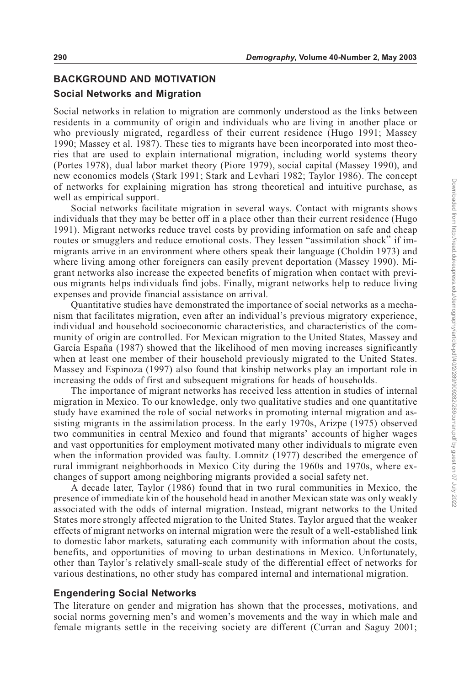# **BACKGROUND AND MOTIVATION**

#### **Social Networks and Migration**

Social networks in relation to migration are commonly understood as the links between residents in a community of origin and individuals who are living in another place or who previously migrated, regardless of their current residence (Hugo 1991; Massey 1990; Massey et al. 1987). These ties to migrants have been incorporated into most theories that are used to explain international migration, including world systems theory (Portes 1978), dual labor market theory (Piore 1979), social capital (Massey 1990), and new economics models (Stark 1991; Stark and Levhari 1982; Taylor 1986). The concept of networks for explaining migration has strong theoretical and intuitive purchase, as well as empirical support.

Social networks facilitate migration in several ways. Contact with migrants shows individuals that they may be better off in a place other than their current residence (Hugo 1991). Migrant networks reduce travel costs by providing information on safe and cheap routes or smugglers and reduce emotional costs. They lessen "assimilation shock" if immigrants arrive in an environment where others speak their language (Choldin 1973) and where living among other foreigners can easily prevent deportation (Massey 1990). Migrant networks also increase the expected benefits of migration when contact with previous migrants helps individuals find jobs. Finally, migrant networks help to reduce living expenses and provide financial assistance on arrival.

Quantitative studies have demonstrated the importance of social networks as a mechanism that facilitates migration, even after an individual's previous migratory experience, individual and household socioeconomic characteristics, and characteristics of the community of origin are controlled. For Mexican migration to the United States, Massey and García España (1987) showed that the likelihood of men moving increases significantly when at least one member of their household previously migrated to the United States. Massey and Espinoza (1997) also found that kinship networks play an important role in increasing the odds of first and subsequent migrations for heads of households.

The importance of migrant networks has received less attention in studies of internal migration in Mexico. To our knowledge, only two qualitative studies and one quantitative study have examined the role of social networks in promoting internal migration and assisting migrants in the assimilation process. In the early 1970s, Arizpe (1975) observed two communities in central Mexico and found that migrants' accounts of higher wages and vast opportunities for employment motivated many other individuals to migrate even when the information provided was faulty. Lomnitz (1977) described the emergence of rural immigrant neighborhoods in Mexico City during the 1960s and 1970s, where exchanges of support among neighboring migrants provided a social safety net.

A decade later, Taylor (1986) found that in two rural communities in Mexico, the presence of immediate kin of the household head in another Mexican state was only weakly associated with the odds of internal migration. Instead, migrant networks to the United States more strongly affected migration to the United States. Taylor argued that the weaker effects of migrant networks on internal migration were the result of a well-established link to domestic labor markets, saturating each community with information about the costs, benefits, and opportunities of moving to urban destinations in Mexico. Unfortunately, other than Taylor's relatively small-scale study of the differential effect of networks for various destinations, no other study has compared internal and international migration.

#### **Engendering Social Networks**

The literature on gender and migration has shown that the processes, motivations, and social norms governing men's and women's movements and the way in which male and female migrants settle in the receiving society are different (Curran and Saguy 2001;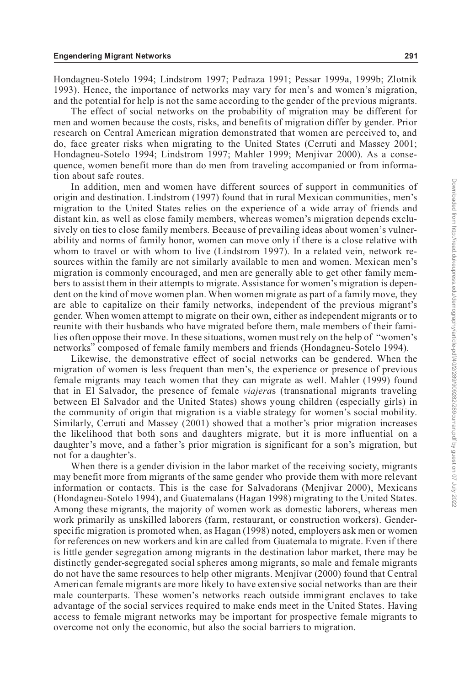Hondagneu-Sotelo 1994; Lindstrom 1997; Pedraza 1991; Pessar 1999a, 1999b; Zlotnik 1993). Hence, the importance of networks may vary for men's and women's migration, and the potential for help is not the same according to the gender of the previous migrants.

The effect of social networks on the probability of migration may be different for men and women because the costs, risks, and benefits of migration differ by gender. Prior research on Central American migration demonstrated that women are perceived to, and do, face greater risks when migrating to the United States (Cerruti and Massey 2001; Hondagneu-Sotelo 1994; Lindstrom 1997; Mahler 1999; Menjívar 2000). As a consequence, women benefit more than do men from traveling accompanied or from information about safe routes.

In addition, men and women have different sources of support in communities of origin and destination. Lindstrom (1997) found that in rural Mexican communities, men's migration to the United States relies on the experience of a wide array of friends and distant kin, as well as close family members, whereas women's migration depends exclusively on ties to close family members. Because of prevailing ideas about women's vulnerability and norms of family honor, women can move only if there is a close relative with whom to travel or with whom to live (Lindstrom 1997). In a related vein, network resources within the family are not similarly available to men and women. Mexican men's migration is commonly encouraged, and men are generally able to get other family members to assist them in their attempts to migrate. Assistance for women's migration is dependent on the kind of move women plan. When women migrate as part of a family move, they are able to capitalize on their family networks, independent of the previous migrant's gender. When women attempt to migrate on their own, either as independent migrants or to reunite with their husbands who have migrated before them, male members of their families often oppose their move. In these situations, women must rely on the help of "women's networks" composed of female family members and friends (Hondagneu-Sotelo 1994).

Likewise, the demonstrative effect of social networks can be gendered. When the migration of women is less frequent than men's, the experience or presence of previous female migrants may teach women that they can migrate as well. Mahler (1999) found that in El Salvador, the presence of female *viajera*s (transnational migrants traveling between El Salvador and the United States) shows young children (especially girls) in the community of origin that migration is a viable strategy for women's social mobility. Similarly, Cerruti and Massey (2001) showed that a mother's prior migration increases the likelihood that both sons and daughters migrate, but it is more influential on a daughter's move, and a father's prior migration is significant for a son's migration, but not for a daughter's.

When there is a gender division in the labor market of the receiving society, migrants may benefit more from migrants of the same gender who provide them with more relevant information or contacts. This is the case for Salvadorans (Menjívar 2000), Mexicans (Hondagneu-Sotelo 1994), and Guatemalans (Hagan 1998) migrating to the United States. Among these migrants, the majority of women work as domestic laborers, whereas men work primarily as unskilled laborers (farm, restaurant, or construction workers). Genderspecific migration is promoted when, as Hagan (1998) noted, employers ask men or women for references on new workers and kin are called from Guatemala to migrate. Even if there is little gender segregation among migrants in the destination labor market, there may be distinctly gender-segregated social spheres among migrants, so male and female migrants do not have the same resources to help other migrants. Menjívar (2000) found that Central American female migrants are more likely to have extensive social networks than are their male counterparts. These women's networks reach outside immigrant enclaves to take advantage of the social services required to make ends meet in the United States. Having access to female migrant networks may be important for prospective female migrants to overcome not only the economic, but also the social barriers to migration.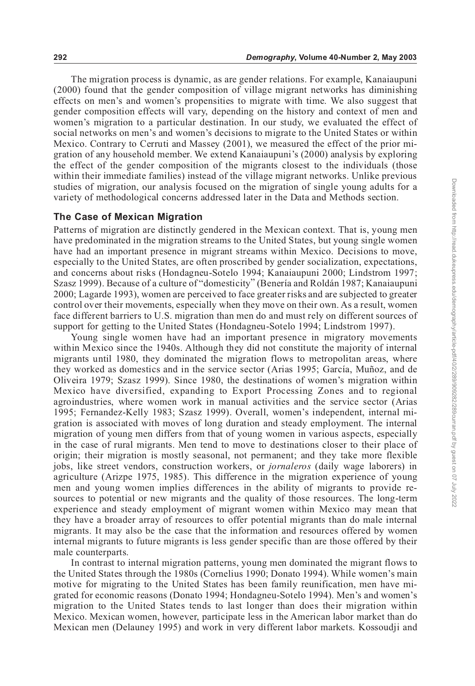The migration process is dynamic, as are gender relations. For example, Kanaiaupuni (2000) found that the gender composition of village migrant networks has diminishing effects on men's and women's propensities to migrate with time. We also suggest that gender composition effects will vary, depending on the history and context of men and women's migration to a particular destination. In our study, we evaluated the effect of social networks on men's and women's decisions to migrate to the United States or within Mexico. Contrary to Cerruti and Massey (2001), we measured the effect of the prior migration of any household member. We extend Kanaiaupuni's (2000) analysis by exploring the effect of the gender composition of the migrants closest to the individuals (those within their immediate families) instead of the village migrant networks. Unlike previous studies of migration, our analysis focused on the migration of single young adults for a variety of methodological concerns addressed later in the Data and Methods section.

#### **The Case of Mexican Migration**

Patterns of migration are distinctly gendered in the Mexican context. That is, young men have predominated in the migration streams to the United States, but young single women have had an important presence in migrant streams within Mexico. Decisions to move, especially to the United States, are often proscribed by gender socialization, expectations, and concerns about risks (Hondagneu-Sotelo 1994; Kanaiaupuni 2000; Lindstrom 1997; Szasz 1999). Because of a culture of "domesticity" (Benería and Roldán 1987; Kanaiaupuni 2000; Lagarde 1993), women are perceived to face greater risks and are subjected to greater control over their movements, especially when they move on their own. As a result, women face different barriers to U.S. migration than men do and must rely on different sources of support for getting to the United States (Hondagneu-Sotelo 1994; Lindstrom 1997).

Young single women have had an important presence in migratory movements within Mexico since the 1940s. Although they did not constitute the majority of internal migrants until 1980, they dominated the migration flows to metropolitan areas, where they worked as domestics and in the service sector (Arias 1995; García, Muñoz, and de Oliveira 1979; Szasz 1999). Since 1980, the destinations of women's migration within Mexico have diversified, expanding to Export Processing Zones and to regional agroindustries, where women work in manual activities and the service sector (Arias 1995; Fernandez-Kelly 1983; Szasz 1999). Overall, women's independent, internal migration is associated with moves of long duration and steady employment. The internal migration of young men differs from that of young women in various aspects, especially in the case of rural migrants. Men tend to move to destinations closer to their place of origin; their migration is mostly seasonal, not permanent; and they take more flexible jobs, like street vendors, construction workers, or *jornaleros* (daily wage laborers) in agriculture (Arizpe 1975, 1985). This difference in the migration experience of young men and young women implies differences in the ability of migrants to provide resources to potential or new migrants and the quality of those resources. The long-term experience and steady employment of migrant women within Mexico may mean that they have a broader array of resources to offer potential migrants than do male internal migrants. It may also be the case that the information and resources offered by women internal migrants to future migrants is less gender specific than are those offered by their male counterparts.

In contrast to internal migration patterns, young men dominated the migrant flows to the United States through the 1980s (Cornelius 1990; Donato 1994). While women's main motive for migrating to the United States has been family reunification, men have migrated for economic reasons (Donato 1994; Hondagneu-Sotelo 1994). Men's and women's migration to the United States tends to last longer than does their migration within Mexico. Mexican women, however, participate less in the American labor market than do Mexican men (Delauney 1995) and work in very different labor markets. Kossoudji and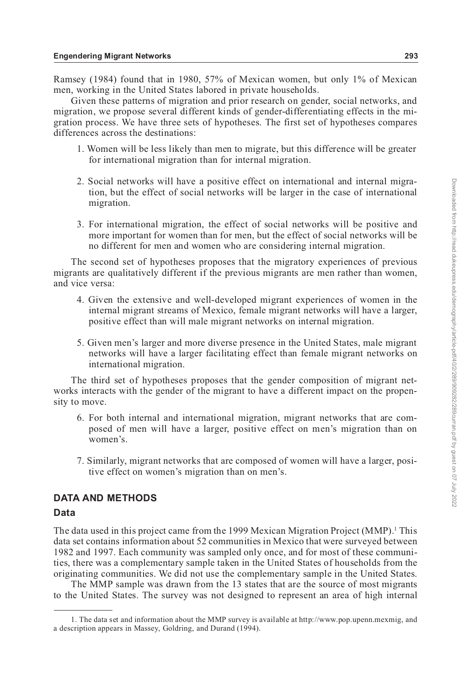Ramsey (1984) found that in 1980, 57% of Mexican women, but only 1% of Mexican men, working in the United States labored in private households.

Given these patterns of migration and prior research on gender, social networks, and migration, we propose several different kinds of gender-differentiating effects in the migration process. We have three sets of hypotheses. The first set of hypotheses compares differences across the destinations:

- 1. Women will be less likely than men to migrate, but this difference will be greater for international migration than for internal migration.
- 2. Social networks will have a positive effect on international and internal migration, but the effect of social networks will be larger in the case of international migration.
- 3. For international migration, the effect of social networks will be positive and more important for women than for men, but the effect of social networks will be no different for men and women who are considering internal migration.

The second set of hypotheses proposes that the migratory experiences of previous migrants are qualitatively different if the previous migrants are men rather than women, and vice versa:

- 4. Given the extensive and well-developed migrant experiences of women in the internal migrant streams of Mexico, female migrant networks will have a larger, positive effect than will male migrant networks on internal migration.
- 5. Given men's larger and more diverse presence in the United States, male migrant networks will have a larger facilitating effect than female migrant networks on international migration.

The third set of hypotheses proposes that the gender composition of migrant networks interacts with the gender of the migrant to have a different impact on the propensity to move.

- 6. For both internal and international migration, migrant networks that are composed of men will have a larger, positive effect on men's migration than on women's.
- 7. Similarly, migrant networks that are composed of women will have a larger, positive effect on women's migration than on men's.

## **DATA AND METHODS**

#### **Data**

The data used in this project came from the 1999 Mexican Migration Project (MMP).<sup>1</sup> This data set contains information about 52 communities in Mexico that were surveyed between 1982 and 1997. Each community was sampled only once, and for most of these communities, there was a complementary sample taken in the United States of households from the originating communities. We did not use the complementary sample in the United States.

The MMP sample was drawn from the 13 states that are the source of most migrants to the United States. The survey was not designed to represent an area of high internal

<sup>1.</sup> The data set and information about the MMP survey is available at http://www.pop.upenn.mexmig, and a description appears in Massey, Goldring, and Durand (1994).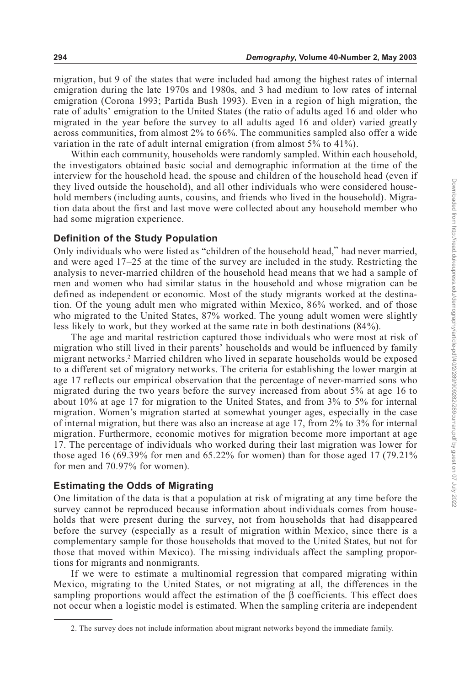migration, but 9 of the states that were included had among the highest rates of internal emigration during the late 1970s and 1980s, and 3 had medium to low rates of internal emigration (Corona 1993; Partida Bush 1993). Even in a region of high migration, the rate of adults' emigration to the United States (the ratio of adults aged 16 and older who migrated in the year before the survey to all adults aged 16 and older) varied greatly across communities, from almost 2% to 66%. The communities sampled also offer a wide variation in the rate of adult internal emigration (from almost 5% to 41%).

Within each community, households were randomly sampled. Within each household, the investigators obtained basic social and demographic information at the time of the interview for the household head, the spouse and children of the household head (even if they lived outside the household), and all other individuals who were considered household members (including aunts, cousins, and friends who lived in the household). Migration data about the first and last move were collected about any household member who had some migration experience.

#### **Definition of the Study Population**

Only individuals who were listed as "children of the household head," had never married, and were aged 17–25 at the time of the survey are included in the study. Restricting the analysis to never-married children of the household head means that we had a sample of men and women who had similar status in the household and whose migration can be defined as independent or economic. Most of the study migrants worked at the destination. Of the young adult men who migrated within Mexico, 86% worked, and of those who migrated to the United States, 87% worked. The young adult women were slightly less likely to work, but they worked at the same rate in both destinations (84%).

The age and marital restriction captured those individuals who were most at risk of migration who still lived in their parents' households and would be influenced by family migrant networks.2 Married children who lived in separate households would be exposed to a different set of migratory networks. The criteria for establishing the lower margin at age 17 reflects our empirical observation that the percentage of never-married sons who migrated during the two years before the survey increased from about 5% at age 16 to about 10% at age 17 for migration to the United States, and from 3% to 5% for internal migration. Women's migration started at somewhat younger ages, especially in the case of internal migration, but there was also an increase at age 17, from 2% to 3% for internal migration. Furthermore, economic motives for migration become more important at age 17. The percentage of individuals who worked during their last migration was lower for those aged 16 (69.39% for men and 65.22% for women) than for those aged 17 (79.21% for men and 70.97% for women).

#### **Estimating the Odds of Migrating**

One limitation of the data is that a population at risk of migrating at any time before the survey cannot be reproduced because information about individuals comes from households that were present during the survey, not from households that had disappeared before the survey (especially as a result of migration within Mexico, since there is a complementary sample for those households that moved to the United States, but not for those that moved within Mexico). The missing individuals affect the sampling proportions for migrants and nonmigrants.

If we were to estimate a multinomial regression that compared migrating within Mexico, migrating to the United States, or not migrating at all, the differences in the sampling proportions would affect the estimation of the  $\beta$  coefficients. This effect does not occur when a logistic model is estimated. When the sampling criteria are independent

<sup>2.</sup> The survey does not include information about migrant networks beyond the immediate family.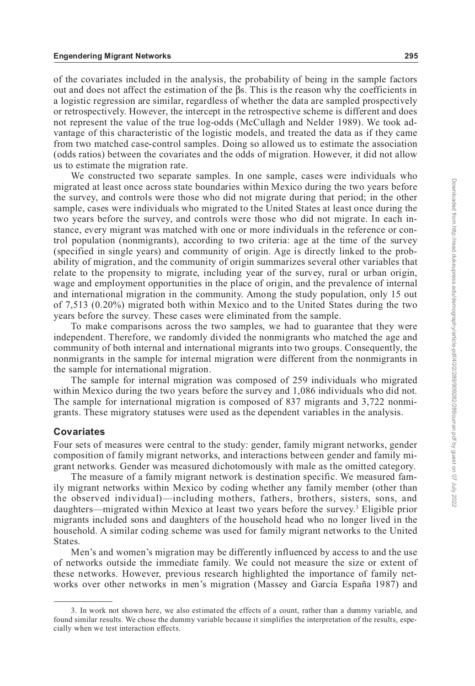of the covariates included in the analysis, the probability of being in the sample factors out and does not affect the estimation of the  $\beta s$ . This is the reason why the coefficients in a logistic regression are similar, regardless of whether the data are sampled prospectively or retrospectively. However, the intercept in the retrospective scheme is different and does not represent the value of the true log-odds (McCullagh and Nelder 1989). We took advantage of this characteristic of the logistic models, and treated the data as if they came from two matched case-control samples. Doing so allowed us to estimate the association (odds ratios) between the covariates and the odds of migration. However, it did not allow us to estimate the migration rate.

We constructed two separate samples. In one sample, cases were individuals who migrated at least once across state boundaries within Mexico during the two years before the survey, and controls were those who did not migrate during that period; in the other sample, cases were individuals who migrated to the United States at least once during the two years before the survey, and controls were those who did not migrate. In each instance, every migrant was matched with one or more individuals in the reference or control population (nonmigrants), according to two criteria: age at the time of the survey (specified in single years) and community of origin. Age is directly linked to the probability of migration, and the community of origin summarizes several other variables that relate to the propensity to migrate, including year of the survey, rural or urban origin, wage and employment opportunities in the place of origin, and the prevalence of internal and international migration in the community. Among the study population, only 15 out of 7,513 (0.20%) migrated both within Mexico and to the United States during the two years before the survey. These cases were eliminated from the sample.

To make comparisons across the two samples, we had to guarantee that they were independent. Therefore, we randomly divided the nonmigrants who matched the age and community of both internal and international migrants into two groups. Consequently, the nonmigrants in the sample for internal migration were different from the nonmigrants in the sample for international migration.

The sample for internal migration was composed of 259 individuals who migrated within Mexico during the two years before the survey and 1,086 individuals who did not. The sample for international migration is composed of 837 migrants and 3,722 nonmigrants. These migratory statuses were used as the dependent variables in the analysis.

#### **Covariates**

Four sets of measures were central to the study: gender, family migrant networks, gender composition of family migrant networks, and interactions between gender and family migrant networks. Gender was measured dichotomously with male as the omitted category.

The measure of a family migrant network is destination specific. We measured family migrant networks within Mexico by coding whether any family member (other than the observed individual)—including mothers, fathers, brothers, sisters, sons, and daughters—migrated within Mexico at least two years before the survey.3 Eligible prior migrants included sons and daughters of the household head who no longer lived in the household. A similar coding scheme was used for family migrant networks to the United States.

Men's and women's migration may be differently influenced by access to and the use of networks outside the immediate family. We could not measure the size or extent of these networks. However, previous research highlighted the importance of family networks over other networks in men's migration (Massey and García España 1987) and

<sup>3.</sup> In work not shown here, we also estimated the effects of a count, rather than a dummy variable, and found similar results. We chose the dummy variable because it simplifies the interpretation of the results, especially when we test interaction effects.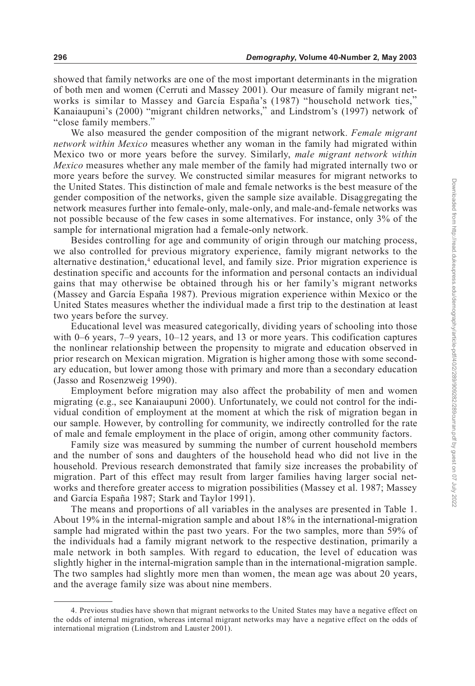showed that family networks are one of the most important determinants in the migration of both men and women (Cerruti and Massey 2001). Our measure of family migrant networks is similar to Massey and García España's (1987) "household network ties," Kanaiaupuni's (2000) "migrant children networks," and Lindstrom's (1997) network of "close family members."

We also measured the gender composition of the migrant network. *Female migrant network within Mexico* measures whether any woman in the family had migrated within Mexico two or more years before the survey. Similarly, *male migrant network within Mexico* measures whether any male member of the family had migrated internally two or more years before the survey. We constructed similar measures for migrant networks to the United States. This distinction of male and female networks is the best measure of the gender composition of the networks, given the sample size available. Disaggregating the network measures further into female-only, male-only, and male-and-female networks was not possible because of the few cases in some alternatives. For instance, only 3% of the sample for international migration had a female-only network.

Besides controlling for age and community of origin through our matching process, we also controlled for previous migratory experience, family migrant networks to the alternative destination,<sup>4</sup> educational level, and family size. Prior migration experience is destination specific and accounts for the information and personal contacts an individual gains that may otherwise be obtained through his or her family's migrant networks (Massey and García España 1987). Previous migration experience within Mexico or the United States measures whether the individual made a first trip to the destination at least two years before the survey.

Educational level was measured categorically, dividing years of schooling into those with 0–6 years, 7–9 years, 10–12 years, and 13 or more years. This codification captures the nonlinear relationship between the propensity to migrate and education observed in prior research on Mexican migration. Migration is higher among those with some secondary education, but lower among those with primary and more than a secondary education (Jasso and Rosenzweig 1990).

Employment before migration may also affect the probability of men and women migrating (e.g., see Kanaiaupuni 2000). Unfortunately, we could not control for the individual condition of employment at the moment at which the risk of migration began in our sample. However, by controlling for community, we indirectly controlled for the rate of male and female employment in the place of origin, among other community factors.

Family size was measured by summing the number of current household members and the number of sons and daughters of the household head who did not live in the household. Previous research demonstrated that family size increases the probability of migration. Part of this effect may result from larger families having larger social networks and therefore greater access to migration possibilities (Massey et al. 1987; Massey and García España 1987; Stark and Taylor 1991).

The means and proportions of all variables in the analyses are presented in Table 1. About 19% in the internal-migration sample and about 18% in the international-migration sample had migrated within the past two years. For the two samples, more than 59% of the individuals had a family migrant network to the respective destination, primarily a male network in both samples. With regard to education, the level of education was slightly higher in the internal-migration sample than in the international-migration sample. The two samples had slightly more men than women, the mean age was about 20 years, and the average family size was about nine members.

<sup>4.</sup> Previous studies have shown that migrant networks to the United States may have a negative effect on the odds of internal migration, whereas internal migrant networks may have a negative effect on the odds of international migration (Lindstrom and Lauster 2001).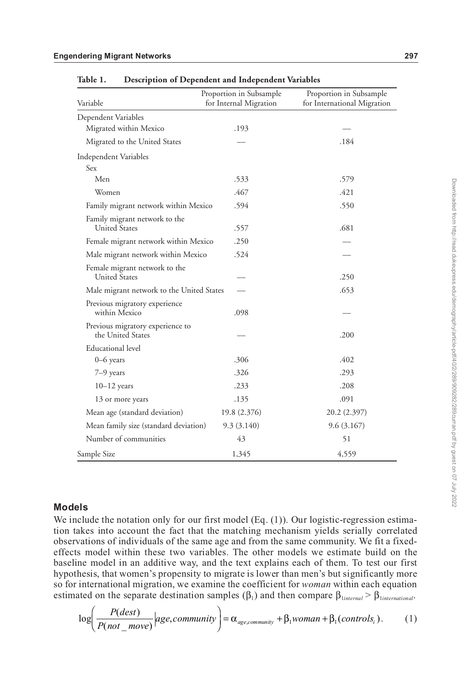| Variable                                              | Proportion in Subsample<br>for Internal Migration | Proportion in Subsample<br>for International Migration |  |  |
|-------------------------------------------------------|---------------------------------------------------|--------------------------------------------------------|--|--|
| Dependent Variables                                   |                                                   |                                                        |  |  |
| Migrated within Mexico                                | .193                                              |                                                        |  |  |
| Migrated to the United States                         |                                                   | .184                                                   |  |  |
| Independent Variables                                 |                                                   |                                                        |  |  |
| Sex                                                   |                                                   |                                                        |  |  |
| Men                                                   | .533                                              | .579                                                   |  |  |
| Women                                                 | .467                                              | .421                                                   |  |  |
| Family migrant network within Mexico                  | .594                                              | .550                                                   |  |  |
| Family migrant network to the<br><b>United States</b> | .557                                              | .681                                                   |  |  |
| Female migrant network within Mexico                  | .250                                              |                                                        |  |  |
| Male migrant network within Mexico                    | .524                                              |                                                        |  |  |
| Female migrant network to the<br>United States        |                                                   | .250                                                   |  |  |
| Male migrant network to the United States             |                                                   | .653                                                   |  |  |
| Previous migratory experience<br>within Mexico        | .098                                              |                                                        |  |  |
| Previous migratory experience to<br>the United States |                                                   | .200                                                   |  |  |
| <b>Educational</b> level                              |                                                   |                                                        |  |  |
| $0-6$ years                                           | .306                                              | .402                                                   |  |  |
| 7-9 years                                             | .326                                              | .293                                                   |  |  |
| $10-12$ years                                         | .233                                              | .208                                                   |  |  |
| 13 or more years                                      | .135                                              | .091                                                   |  |  |
| Mean age (standard deviation)                         | 19.8 (2.376)                                      | 20.2 (2.397)                                           |  |  |
| Mean family size (standard deviation)                 | 9.3(3.140)                                        | 9.6(3.167)                                             |  |  |
| Number of communities                                 | 43                                                | 51                                                     |  |  |
| Sample Size                                           | 1,345                                             | 4,559                                                  |  |  |

**Table 1. Description of Dependent and Independent Variables**

# **Models**

We include the notation only for our first model (Eq. (1)). Our logistic-regression estimation takes into account the fact that the matching mechanism yields serially correlated observations of individuals of the same age and from the same community. We fit a fixedeffects model within these two variables. The other models we estimate build on the baseline model in an additive way, and the text explains each of them. To test our first hypothesis, that women's propensity to migrate is lower than men's but significantly more so for international migration, we examine the coefficient for *woman* within each equation estimated on the separate destination samples  $(\beta_1)$  and then compare  $\beta_1$ <sub>*internal* >  $\beta_1$ <sub>*international*.</sub></sub>

$$
\log\left(\frac{P(dest)}{P(not\_move)}\middle| age, community\right) = \alpha_{age, community} + \beta_1 woman + \beta_1(controls_i). \tag{1}
$$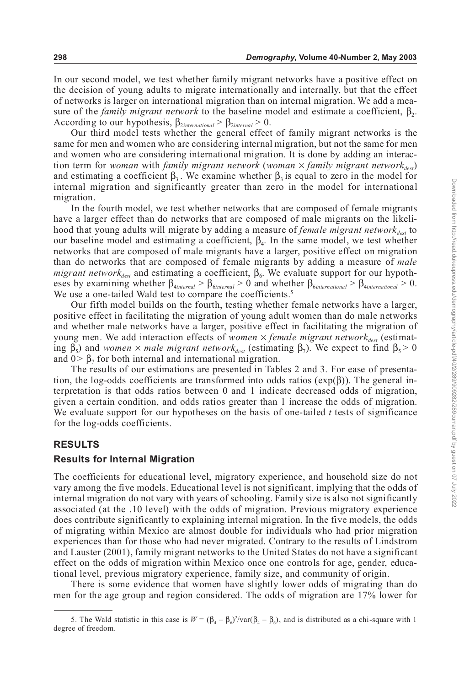In our second model, we test whether family migrant networks have a positive effect on the decision of young adults to migrate internationally and internally, but that the effect of networks is larger on international migration than on internal migration. We add a measure of the *family migrant network* to the baseline model and estimate a coefficient,  $\beta_2$ . According to our hypothesis,  $\beta_{2international} > \beta_{2intermail} > 0$ .

Our third model tests whether the general effect of family migrant networks is the same for men and women who are considering internal migration, but not the same for men and women who are considering international migration. It is done by adding an interaction term for *woman* with *family migrant network* (*woman*  $\times$  *family migrant network*<sub>dest</sub>) and estimating a coefficient  $\beta_3$ . We examine whether  $\beta_3$  is equal to zero in the model for internal migration and significantly greater than zero in the model for international migration.

In the fourth model, we test whether networks that are composed of female migrants have a larger effect than do networks that are composed of male migrants on the likelihood that young adults will migrate by adding a measure of *female migrant network* our baseline model and estimating a coefficient,  $\beta_4$ . In the same model, we test whether networks that are composed of male migrants have a larger, positive effect on migration than do networks that are composed of female migrants by adding a measure of *male*  $migrant$  networ $k_{dest}$  and estimating a coefficient,  $\beta_{6}$ . We evaluate support for our hypotheses by examining whether  $\beta_{\text{4interrad}} > \beta_{\text{6interrad}} > 0$  and whether  $\beta_{\text{6interradional}} > \beta_{\text{4interradional}} > 0$ . We use a one-tailed Wald test to compare the coefficients.<sup>5</sup>

Our fifth model builds on the fourth, testing whether female networks have a larger, positive effect in facilitating the migration of young adult women than do male networks and whether male networks have a larger, positive effect in facilitating the migration of young men. We add interaction effects of *women*  $\times$  *female migrant network*<sub>dest</sub> (estimating  $\beta_5$ ) and *women*  $\times$  *male migrant network*<sub>dest</sub> (estimating  $\beta_7$ ). We expect to find  $\beta_5 > 0$ and  $0 > \beta_7$  for both internal and international migration.

The results of our estimations are presented in Tables 2 and 3. For ease of presentation, the log-odds coefficients are transformed into odds ratios ( $exp(\beta)$ ). The general interpretation is that odds ratios between 0 and 1 indicate decreased odds of migration, given a certain condition, and odds ratios greater than 1 increase the odds of migration. We evaluate support for our hypotheses on the basis of one-tailed *t* tests of significance for the log-odds coefficients.

### **RESULTS**

#### **Results for Internal Migration**

The coefficients for educational level, migratory experience, and household size do not vary among the five models. Educational level is not significant, implying that the odds of internal migration do not vary with years of schooling. Family size is also not significantly associated (at the .10 level) with the odds of migration. Previous migratory experience does contribute significantly to explaining internal migration. In the five models, the odds of migrating within Mexico are almost double for individuals who had prior migration experiences than for those who had never migrated. Contrary to the results of Lindstrom and Lauster (2001), family migrant networks to the United States do not have a significant effect on the odds of migration within Mexico once one controls for age, gender, educational level, previous migratory experience, family size, and community of origin.

There is some evidence that women have slightly lower odds of migrating than do men for the age group and region considered. The odds of migration are 17% lower for

<sup>5.</sup> The Wald statistic in this case is  $W = (\beta_4 - \beta_6)^2 / \text{var}(\beta_4 - \beta_6)$ , and is distributed as a chi-square with 1 degree of freedom.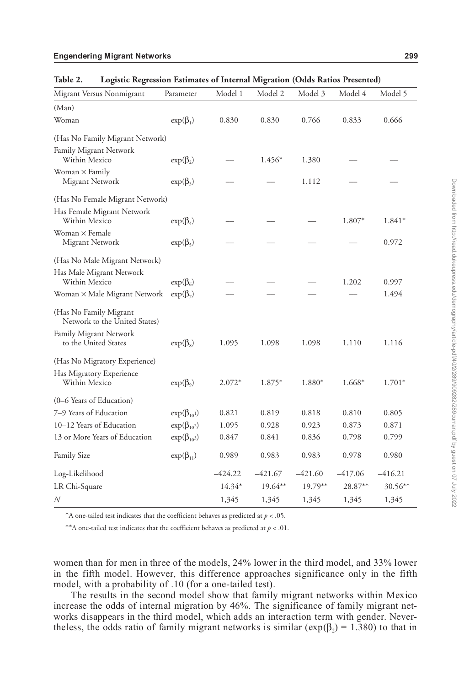| Migrant Versus Nonmigrant                               | Parameter                     | Model 1   | Model 2   | Model 3   | Model 4   | Model 5   |  |
|---------------------------------------------------------|-------------------------------|-----------|-----------|-----------|-----------|-----------|--|
| (Man)                                                   |                               |           |           |           |           |           |  |
| Woman                                                   | $exp(\beta_1)$                | 0.830     | 0.830     | 0.766     | 0.833     | 0.666     |  |
| (Has No Family Migrant Network)                         |                               |           |           |           |           |           |  |
| Family Migrant Network<br>Within Mexico                 | $exp(\beta_2)$                |           | $1.456*$  | 1.380     |           |           |  |
| Woman $\times$ Family<br>Migrant Network                | $exp(\beta_3)$                |           |           | 1.112     |           |           |  |
| (Has No Female Migrant Network)                         |                               |           |           |           |           |           |  |
| Has Female Migrant Network<br>Within Mexico             | $exp(\beta_4)$                |           |           |           | 1.807*    | $1.841*$  |  |
| Woman $\times$ Female<br>Migrant Network                | $exp(\beta_5)$                |           |           |           |           | 0.972     |  |
| (Has No Male Migrant Network)                           |                               |           |           |           |           |           |  |
| Has Male Migrant Network<br>Within Mexico               | $\exp(\beta_6)$               |           |           |           | 1.202     | 0.997     |  |
| Woman × Male Migrant Network                            | $exp(\beta_7)$                |           |           |           |           | 1.494     |  |
| (Has No Family Migrant<br>Network to the United States) |                               |           |           |           |           |           |  |
| Family Migrant Network<br>to the United States          | $\exp(\beta_8)$               | 1.095     | 1.098     | 1.098     | 1.110     | 1.116     |  |
| (Has No Migratory Experience)                           |                               |           |           |           |           |           |  |
| Has Migratory Experience<br>Within Mexico               | $exp(\beta_9)$                | $2.072*$  | 1.875*    | 1.880*    | 1.668*    | $1.701*$  |  |
| (0–6 Years of Education)                                |                               |           |           |           |           |           |  |
| 7-9 Years of Education                                  | $exp(\beta_{10}$ <sup>1</sup> | 0.821     | 0.819     | 0.818     | 0.810     | 0.805     |  |
| 10-12 Years of Education                                | $\exp(\beta_{10^2})$          | 1.095     | 0.928     | 0.923     | 0.873     | 0.871     |  |
| 13 or More Years of Education                           | $\exp(\beta_{10^3})$          | 0.847     | 0.841     | 0.836     | 0.798     | 0.799     |  |
| <b>Family Size</b>                                      | $\exp(\beta_{11})$            | 0.989     | 0.983     | 0.983     | 0.978     | 0.980     |  |
| Log-Likelihood                                          |                               | $-424.22$ | $-421.67$ | $-421.60$ | $-417.06$ | $-416.21$ |  |
| LR Chi-Square                                           |                               | $14.34*$  | 19.64**   | $19.79**$ | 28.87**   | $30.56**$ |  |
| N                                                       |                               | 1,345     | 1,345     | 1,345     | 1,345     | 1,345     |  |

**Table 2. Logistic Regression Estimates of Internal Migration (Odds Ratios Presented)**

\*A one-tailed test indicates that the coefficient behaves as predicted at *p* < .05.

\*\*A one-tailed test indicates that the coefficient behaves as predicted at  $p < .01$ .

women than for men in three of the models, 24% lower in the third model, and 33% lower in the fifth model. However, this difference approaches significance only in the fifth model, with a probability of .10 (for a one-tailed test).

The results in the second model show that family migrant networks within Mexico increase the odds of internal migration by 46%. The significance of family migrant networks disappears in the third model, which adds an interaction term with gender. Nevertheless, the odds ratio of family migrant networks is similar ( $exp(\beta_2) = 1.380$ ) to that in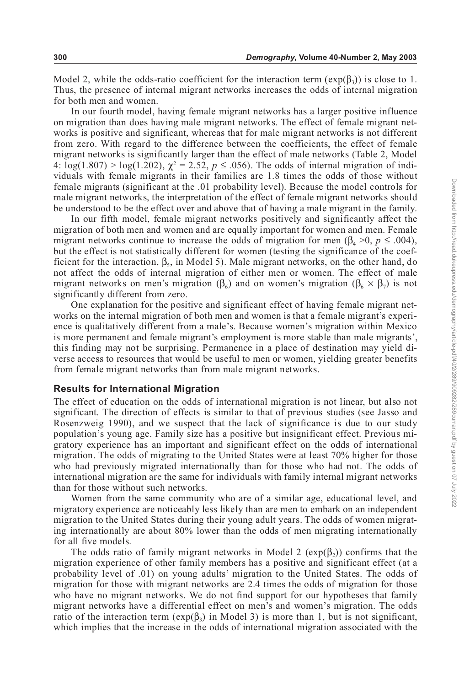Model 2, while the odds-ratio coefficient for the interaction term  $(exp(\beta_3))$  is close to 1. Thus, the presence of internal migrant networks increases the odds of internal migration for both men and women.

In our fourth model, having female migrant networks has a larger positive influence on migration than does having male migrant networks. The effect of female migrant networks is positive and significant, whereas that for male migrant networks is not different from zero. With regard to the difference between the coefficients, the effect of female migrant networks is significantly larger than the effect of male networks (Table 2, Model 4:  $\log(1.807) > \log(1.202)$ ,  $\chi^2 = 2.52$ ,  $p \le .056$ ). The odds of internal migration of individuals with female migrants in their families are 1.8 times the odds of those without female migrants (significant at the .01 probability level). Because the model controls for male migrant networks, the interpretation of the effect of female migrant networks should be understood to be the effect over and above that of having a male migrant in the family.

In our fifth model, female migrant networks positively and significantly affect the migration of both men and women and are equally important for women and men. Female migrant networks continue to increase the odds of migration for men ( $\beta_4 > 0$ ,  $p \leq .004$ ), but the effect is not statistically different for women (testing the significance of the coefficient for the interaction,  $\beta_5$ , in Model 5). Male migrant networks, on the other hand, do not affect the odds of internal migration of either men or women. The effect of male migrant networks on men's migration ( $\beta_6$ ) and on women's migration ( $\beta_6 \times \beta_7$ ) is not significantly different from zero.

One explanation for the positive and significant effect of having female migrant networks on the internal migration of both men and women is that a female migrant's experience is qualitatively different from a male's. Because women's migration within Mexico is more permanent and female migrant's employment is more stable than male migrants', this finding may not be surprising. Permanence in a place of destination may yield diverse access to resources that would be useful to men or women, yielding greater benefits from female migrant networks than from male migrant networks.

#### **Results for International Migration**

The effect of education on the odds of international migration is not linear, but also not significant. The direction of effects is similar to that of previous studies (see Jasso and Rosenzweig 1990), and we suspect that the lack of significance is due to our study population's young age. Family size has a positive but insignificant effect. Previous migratory experience has an important and significant effect on the odds of international migration. The odds of migrating to the United States were at least 70% higher for those who had previously migrated internationally than for those who had not. The odds of international migration are the same for individuals with family internal migrant networks than for those without such networks.

Women from the same community who are of a similar age, educational level, and migratory experience are noticeably less likely than are men to embark on an independent migration to the United States during their young adult years. The odds of women migrating internationally are about 80% lower than the odds of men migrating internationally for all five models.

The odds ratio of family migrant networks in Model 2 ( $exp(\beta_2)$ ) confirms that the migration experience of other family members has a positive and significant effect (at a probability level of .01) on young adults' migration to the United States. The odds of migration for those with migrant networks are 2.4 times the odds of migration for those who have no migrant networks. We do not find support for our hypotheses that family migrant networks have a differential effect on men's and women's migration. The odds ratio of the interaction term ( $exp(\beta_3)$  in Model 3) is more than 1, but is not significant, which implies that the increase in the odds of international migration associated with the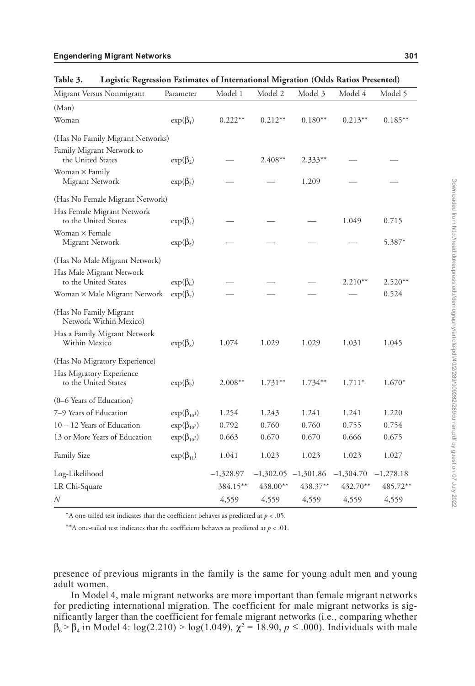| Migrant Versus Nonmigrant                          | Parameter            | Model 1     | Model 2   | Model 3                 | Model 4     | Model 5     |  |
|----------------------------------------------------|----------------------|-------------|-----------|-------------------------|-------------|-------------|--|
| (Man)                                              |                      |             |           |                         |             |             |  |
| Woman                                              | $exp(\beta_1)$       | $0.222**$   | $0.212**$ | $0.180**$               | $0.213**$   | $0.185***$  |  |
| (Has No Family Migrant Networks)                   |                      |             |           |                         |             |             |  |
| Family Migrant Network to<br>the United States     | $exp(\beta_2)$       |             | $2.408**$ | 2.333**                 |             |             |  |
| Woman $\times$ Family<br>Migrant Network           | $exp(\beta_3)$       |             |           | 1.209                   |             |             |  |
| (Has No Female Migrant Network)                    |                      |             |           |                         |             |             |  |
| Has Female Migrant Network<br>to the United States | $\exp(\beta_4)$      |             |           |                         | 1.049       | 0.715       |  |
| Woman $\times$ Female<br>Migrant Network           | $exp(\beta_5)$       |             |           |                         |             | 5.387*      |  |
| (Has No Male Migrant Network)                      |                      |             |           |                         |             |             |  |
| Has Male Migrant Network<br>to the United States   | $\exp(\beta_6)$      |             |           |                         | $2.210**$   | $2.520**$   |  |
| Woman × Male Migrant Network                       | $exp(\beta_7)$       |             |           |                         |             | 0.524       |  |
| (Has No Family Migrant<br>Network Within Mexico)   |                      |             |           |                         |             |             |  |
| Has a Family Migrant Network<br>Within Mexico      | $exp(\beta_8)$       | 1.074       | 1.029     | 1.029                   | 1.031       | 1.045       |  |
| (Has No Migratory Experience)                      |                      |             |           |                         |             |             |  |
| Has Migratory Experience<br>to the United States   | $exp(\beta_9)$       | $2.008**$   | $1.731**$ | $1.734**$               | $1.711*$    | $1.670*$    |  |
| (0–6 Years of Education)                           |                      |             |           |                         |             |             |  |
| 7-9 Years of Education                             | $\exp(\beta_{10}1)$  | 1.254       | 1.243     | 1.241                   | 1.241       | 1.220       |  |
| 10 - 12 Years of Education                         | $\exp(\beta_{10^2})$ | 0.792       | 0.760     | 0.760                   | 0.755       | 0.754       |  |
| 13 or More Years of Education                      | $\exp(\beta_{10^3})$ | 0.663       | 0.670     | 0.670                   | 0.666       | 0.675       |  |
| <b>Family Size</b>                                 | $\exp(\beta_{11})$   | 1.041       | 1.023     | 1.023                   | 1.023       | 1.027       |  |
| Log-Likelihood                                     |                      | $-1,328.97$ |           | $-1,302.05$ $-1,301.86$ | $-1,304.70$ | $-1,278.18$ |  |
| LR Chi-Square                                      |                      | 384.15**    | 438.00**  | 438.37**                | 432.70**    | 485.72**    |  |
| $\boldsymbol{N}$                                   |                      | 4,559       | 4,559     | 4,559                   | 4,559       | 4,559       |  |

**Table 3. Logistic Regression Estimates of International Migration (Odds Ratios Presented)**

\*A one-tailed test indicates that the coefficient behaves as predicted at *p* < .05.

\*\*A one-tailed test indicates that the coefficient behaves as predicted at *p* < .01.

presence of previous migrants in the family is the same for young adult men and young adult women.

In Model 4, male migrant networks are more important than female migrant networks for predicting international migration. The coefficient for male migrant networks is significantly larger than the coefficient for female migrant networks (i.e., comparing whether  $\beta_6 > \beta_4$  in Model 4:  $\log(2.210) > \log(1.049)$ ,  $\chi^2 = 18.90$ ,  $p \le .000$ ). Individuals with male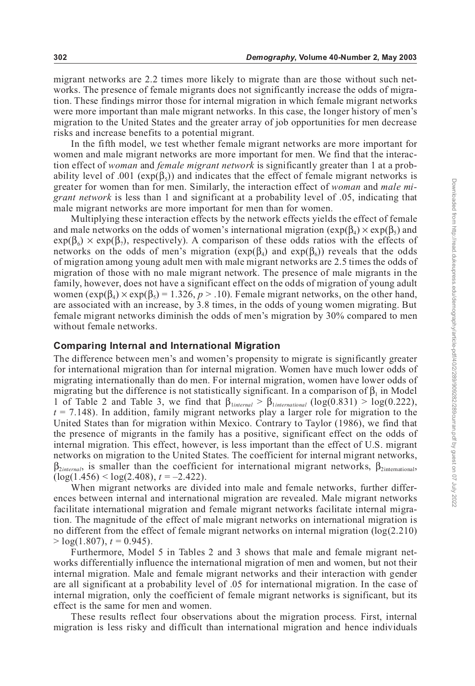migrant networks are 2.2 times more likely to migrate than are those without such networks. The presence of female migrants does not significantly increase the odds of migration. These findings mirror those for internal migration in which female migrant networks were more important than male migrant networks. In this case, the longer history of men's migration to the United States and the greater array of job opportunities for men decrease risks and increase benefits to a potential migrant.

In the fifth model, we test whether female migrant networks are more important for women and male migrant networks are more important for men. We find that the interaction effect of *woman* and *female migrant network* is significantly greater than 1 at a probability level of .001 ( $exp(\beta_5)$ ) and indicates that the effect of female migrant networks is greater for women than for men. Similarly, the interaction effect of *woman* and *male migrant network* is less than 1 and significant at a probability level of .05, indicating that male migrant networks are more important for men than for women.

Multiplying these interaction effects by the network effects yields the effect of female and male networks on the odds of women's international migration  $(\exp(\beta_4) \times \exp(\beta_5))$  and  $exp(\beta_6) \times exp(\beta_7)$ , respectively). A comparison of these odds ratios with the effects of networks on the odds of men's migration ( $exp(\beta_4)$  and  $exp(\beta_6)$ ) reveals that the odds of migration among young adult men with male migrant networks are 2.5 times the odds of migration of those with no male migrant network. The presence of male migrants in the family, however, does not have a significant effect on the odds of migration of young adult women  $(\exp(\beta_4) \times \exp(\beta_5) = 1.326, p > .10)$ . Female migrant networks, on the other hand, are associated with an increase, by 3.8 times, in the odds of young women migrating. But female migrant networks diminish the odds of men's migration by 30% compared to men without female networks.

#### **Comparing Internal and International Migration**

The difference between men's and women's propensity to migrate is significantly greater for international migration than for internal migration. Women have much lower odds of migrating internationally than do men. For internal migration, women have lower odds of migrating but the difference is not statistically significant. In a comparison of  $\beta_1$  in Model 1 of Table 2 and Table 3, we find that  $\beta_{\text{linear}} > \beta_{\text{International}} (\log(0.831) > \log(0.222)$ ,  $t = 7.148$ ). In addition, family migrant networks play a larger role for migration to the United States than for migration within Mexico. Contrary to Taylor (1986), we find that the presence of migrants in the family has a positive, significant effect on the odds of internal migration. This effect, however, is less important than the effect of U.S. migrant networks on migration to the United States. The coefficient for internal migrant networks,  $\beta_{2interval}$ , is smaller than the coefficient for international migrant networks,  $\beta_{2interaction}$  $(\log(1.456) < \log(2.408), t = -2.422)$ .

When migrant networks are divided into male and female networks, further differences between internal and international migration are revealed. Male migrant networks facilitate international migration and female migrant networks facilitate internal migration. The magnitude of the effect of male migrant networks on international migration is no different from the effect of female migrant networks on internal migration (log(2.210)  $>$  log(1.807),  $t = 0.945$ ).

Furthermore, Model 5 in Tables 2 and 3 shows that male and female migrant networks differentially influence the international migration of men and women, but not their internal migration. Male and female migrant networks and their interaction with gender are all significant at a probability level of .05 for international migration. In the case of internal migration, only the coefficient of female migrant networks is significant, but its effect is the same for men and women.

These results reflect four observations about the migration process. First, internal migration is less risky and difficult than international migration and hence individuals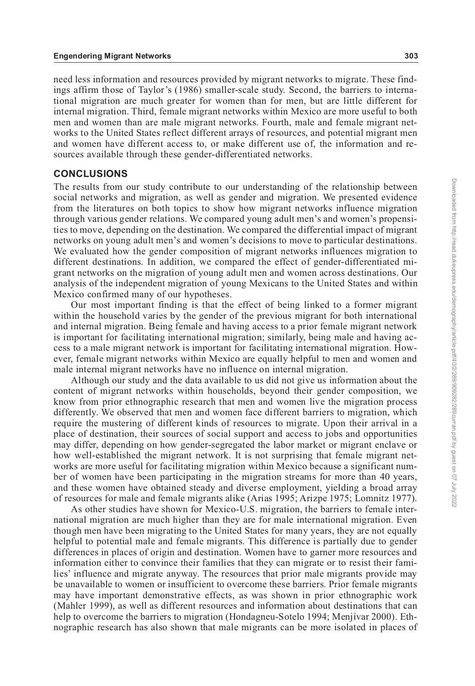need less information and resources provided by migrant networks to migrate. These findings affirm those of Taylor's (1986) smaller-scale study. Second, the barriers to international migration are much greater for women than for men, but are little different for internal migration. Third, female migrant networks within Mexico are more useful to both men and women than are male migrant networks. Fourth, male and female migrant networks to the United States reflect different arrays of resources, and potential migrant men and women have different access to, or make different use of, the information and resources available through these gender-differentiated networks.

#### **CONCLUSIONS**

The results from our study contribute to our understanding of the relationship between social networks and migration, as well as gender and migration. We presented evidence from the literatures on both topics to show how migrant networks influence migration through various gender relations. We compared young adult men's and women's propensities to move, depending on the destination. We compared the differential impact of migrant networks on young adult men's and women's decisions to move to particular destinations. We evaluated how the gender composition of migrant networks influences migration to different destinations. In addition, we compared the effect of gender-differentiated migrant networks on the migration of young adult men and women across destinations. Our analysis of the independent migration of young Mexicans to the United States and within Mexico confirmed many of our hypotheses.

Our most important finding is that the effect of being linked to a former migrant within the household varies by the gender of the previous migrant for both international and internal migration. Being female and having access to a prior female migrant network is important for facilitating international migration; similarly, being male and having access to a male migrant network is important for facilitating international migration. However, female migrant networks within Mexico are equally helpful to men and women and male internal migrant networks have no influence on internal migration.

Although our study and the data available to us did not give us information about the content of migrant networks within households, beyond their gender composition, we know from prior ethnographic research that men and women live the migration process differently. We observed that men and women face different barriers to migration, which require the mustering of different kinds of resources to migrate. Upon their arrival in a place of destination, their sources of social support and access to jobs and opportunities may differ, depending on how gender-segregated the labor market or migrant enclave or how well-established the migrant network. It is not surprising that female migrant networks are more useful for facilitating migration within Mexico because a significant number of women have been participating in the migration streams for more than 40 years, and these women have obtained steady and diverse employment, yielding a broad array of resources for male and female migrants alike (Arias 1995; Arizpe 1975; Lomnitz 1977).

As other studies have shown for Mexico-U.S. migration, the barriers to female international migration are much higher than they are for male international migration. Even though men have been migrating to the United States for many years, they are not equally helpful to potential male and female migrants. This difference is partially due to gender differences in places of origin and destination. Women have to garner more resources and information either to convince their families that they can migrate or to resist their families' influence and migrate anyway. The resources that prior male migrants provide may be unavailable to women or insufficient to overcome these barriers. Prior female migrants may have important demonstrative effects, as was shown in prior ethnographic work (Mahler 1999), as well as different resources and information about destinations that can help to overcome the barriers to migration (Hondagneu-Sotelo 1994; Menjívar 2000). Ethnographic research has also shown that male migrants can be more isolated in places of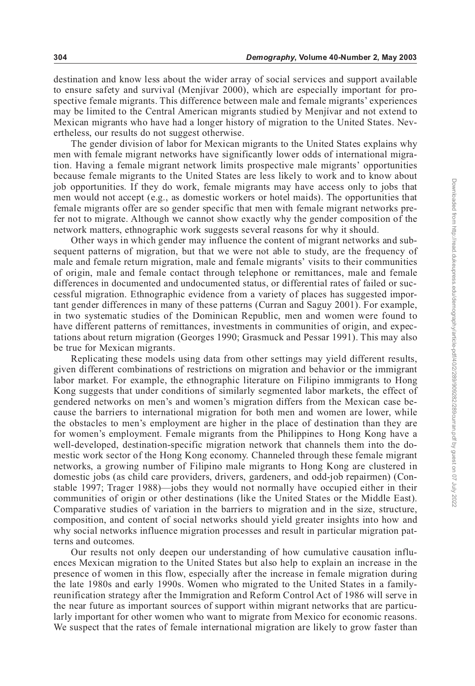destination and know less about the wider array of social services and support available to ensure safety and survival (Menjívar 2000), which are especially important for prospective female migrants. This difference between male and female migrants' experiences may be limited to the Central American migrants studied by Menjívar and not extend to Mexican migrants who have had a longer history of migration to the United States. Nevertheless, our results do not suggest otherwise.

The gender division of labor for Mexican migrants to the United States explains why men with female migrant networks have significantly lower odds of international migration. Having a female migrant network limits prospective male migrants' opportunities because female migrants to the United States are less likely to work and to know about job opportunities. If they do work, female migrants may have access only to jobs that men would not accept (e.g., as domestic workers or hotel maids). The opportunities that female migrants offer are so gender specific that men with female migrant networks prefer not to migrate. Although we cannot show exactly why the gender composition of the network matters, ethnographic work suggests several reasons for why it should.

Other ways in which gender may influence the content of migrant networks and subsequent patterns of migration, but that we were not able to study, are the frequency of male and female return migration, male and female migrants' visits to their communities of origin, male and female contact through telephone or remittances, male and female differences in documented and undocumented status, or differential rates of failed or successful migration. Ethnographic evidence from a variety of places has suggested important gender differences in many of these patterns (Curran and Saguy 2001). For example, in two systematic studies of the Dominican Republic, men and women were found to have different patterns of remittances, investments in communities of origin, and expectations about return migration (Georges 1990; Grasmuck and Pessar 1991). This may also be true for Mexican migrants.

Replicating these models using data from other settings may yield different results, given different combinations of restrictions on migration and behavior or the immigrant labor market. For example, the ethnographic literature on Filipino immigrants to Hong Kong suggests that under conditions of similarly segmented labor markets, the effect of gendered networks on men's and women's migration differs from the Mexican case because the barriers to international migration for both men and women are lower, while the obstacles to men's employment are higher in the place of destination than they are for women's employment. Female migrants from the Philippines to Hong Kong have a well-developed, destination-specific migration network that channels them into the domestic work sector of the Hong Kong economy. Channeled through these female migrant networks, a growing number of Filipino male migrants to Hong Kong are clustered in domestic jobs (as child care providers, drivers, gardeners, and odd-job repairmen) (Constable 1997; Trager 1988)—jobs they would not normally have occupied either in their communities of origin or other destinations (like the United States or the Middle East). Comparative studies of variation in the barriers to migration and in the size, structure, composition, and content of social networks should yield greater insights into how and why social networks influence migration processes and result in particular migration patterns and outcomes.

Our results not only deepen our understanding of how cumulative causation influences Mexican migration to the United States but also help to explain an increase in the presence of women in this flow, especially after the increase in female migration during the late 1980s and early 1990s. Women who migrated to the United States in a familyreunification strategy after the Immigration and Reform Control Act of 1986 will serve in the near future as important sources of support within migrant networks that are particularly important for other women who want to migrate from Mexico for economic reasons. We suspect that the rates of female international migration are likely to grow faster than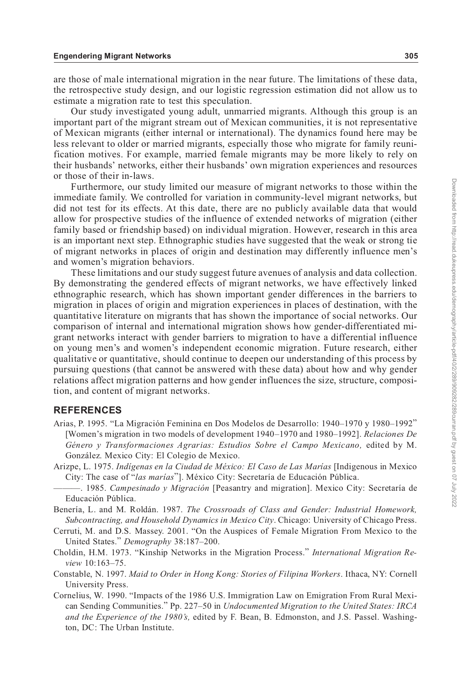are those of male international migration in the near future. The limitations of these data, the retrospective study design, and our logistic regression estimation did not allow us to estimate a migration rate to test this speculation.

Our study investigated young adult, unmarried migrants. Although this group is an important part of the migrant stream out of Mexican communities, it is not representative of Mexican migrants (either internal or international). The dynamics found here may be less relevant to older or married migrants, especially those who migrate for family reunification motives. For example, married female migrants may be more likely to rely on their husbands' networks, either their husbands' own migration experiences and resources or those of their in-laws.

Furthermore, our study limited our measure of migrant networks to those within the immediate family. We controlled for variation in community-level migrant networks, but did not test for its effects. At this date, there are no publicly available data that would allow for prospective studies of the influence of extended networks of migration (either family based or friendship based) on individual migration. However, research in this area is an important next step. Ethnographic studies have suggested that the weak or strong tie of migrant networks in places of origin and destination may differently influence men's and women's migration behaviors.

These limitations and our study suggest future avenues of analysis and data collection. By demonstrating the gendered effects of migrant networks, we have effectively linked ethnographic research, which has shown important gender differences in the barriers to migration in places of origin and migration experiences in places of destination, with the quantitative literature on migrants that has shown the importance of social networks. Our comparison of internal and international migration shows how gender-differentiated migrant networks interact with gender barriers to migration to have a differential influence on young men's and women's independent economic migration. Future research, either qualitative or quantitative, should continue to deepen our understanding of this process by pursuing questions (that cannot be answered with these data) about how and why gender relations affect migration patterns and how gender influences the size, structure, composition, and content of migrant networks.

#### **REFERENCES**

- Arias, P. 1995. "La Migración Feminina en Dos Modelos de Desarrollo: 1940–1970 y 1980–1992" [Women's migration in two models of development 1940–1970 and 1980–1992]. *Relaciones De Género y Transformaciones Agrarias: Estudios Sobre el Campo Mexicano,* edited by M. González. Mexico City: El Colegio de Mexico.
- Arizpe, L. 1975. *Indígenas en la Ciudad de México: El Caso de Las Marías* [Indigenous in Mexico City: The case of "*las marías*"]. México City: Secretaría de Educación Pública.
- ———. 1985. *Campesinado y Migración* [Peasantry and migration]. Mexico City: Secretaría de Educación Pública.
- Benería, L. and M. Roldán. 1987. *The Crossroads of Class and Gender: Industrial Homework, Subcontracting, and Household Dynamics in Mexico City*. Chicago: University of Chicago Press.
- Cerruti, M. and D.S. Massey. 2001. "On the Auspices of Female Migration From Mexico to the United States." *Demography* 38:187–200.
- Choldin, H.M. 1973. "Kinship Networks in the Migration Process." *International Migration Review* 10:163–75.
- Constable, N. 1997. *Maid to Order in Hong Kong: Stories of Filipina Workers*. Ithaca, NY: Cornell University Press.
- Cornelius, W. 1990. "Impacts of the 1986 U.S. Immigration Law on Emigration From Rural Mexican Sending Communities." Pp. 227–50 in *Undocumented Migration to the United States: IRCA and the Experience of the 1980's,* edited by F. Bean, B. Edmonston, and J.S. Passel. Washington, DC: The Urban Institute.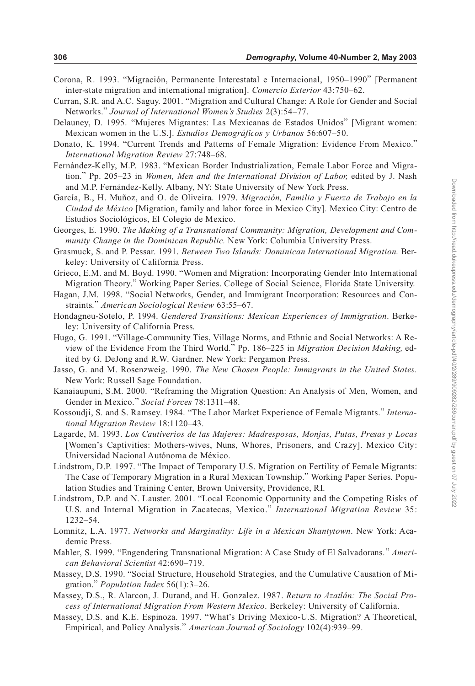- Corona, R. 1993. "Migración, Permanente Interestatal e Internacional, 1950–1990" [Permanent inter-state migration and international migration]. *Comercio Exterior* 43:750–62.
- Curran, S.R. and A.C. Saguy. 2001. "Migration and Cultural Change: A Role for Gender and Social Networks." *Journal of International Women's Studies* 2(3):54–77.
- Delauney, D. 1995. "Mujeres Migrantes: Las Mexicanas de Estados Unidos" [Migrant women: Mexican women in the U.S.]. *Estudios Demográficos y Urbanos* 56:607–50.
- Donato, K. 1994. "Current Trends and Patterns of Female Migration: Evidence From Mexico." *International Migration Review* 27:748–68.
- Fernández-Kelly, M.P. 1983. "Mexican Border Industrialization, Female Labor Force and Migration." Pp. 205–23 in *Women, Men and the International Division of Labor,* edited by J. Nash and M.P. Fernández-Kelly. Albany, NY: State University of New York Press.
- García, B., H. Muñoz, and O. de Oliveira. 1979. *Migración, Familia y Fuerza de Trabajo en la Ciudad de México* [Migration, family and labor force in Mexico City]*.* Mexico City: Centro de Estudios Sociológicos, El Colegio de Mexico.
- Georges, E. 1990. *The Making of a Transnational Community: Migration, Development and Community Change in the Dominican Republic.* New York: Columbia University Press.
- Grasmuck, S. and P. Pessar. 1991. *Between Two Islands: Dominican International Migration*. Berkeley: University of California Press.
- Grieco, E.M. and M. Boyd. 1990. "Women and Migration: Incorporating Gender Into International Migration Theory." Working Paper Series. College of Social Science, Florida State University.
- Hagan, J.M. 1998. "Social Networks, Gender, and Immigrant Incorporation: Resources and Constraints." *American Sociological Review* 63:55–67.
- Hondagneu-Sotelo, P. 1994. *Gendered Transitions: Mexican Experiences of Immigration*. Berkeley: University of California Press.
- Hugo, G. 1991. "Village-Community Ties, Village Norms, and Ethnic and Social Networks: A Review of the Evidence From the Third World." Pp. 186–225 in *Migration Decision Making,* edited by G. DeJong and R.W. Gardner. New York: Pergamon Press.
- Jasso, G. and M. Rosenzweig. 1990. *The New Chosen People: Immigrants in the United States.* New York: Russell Sage Foundation.
- Kanaiaupuni, S.M. 2000. "Reframing the Migration Question: An Analysis of Men, Women, and Gender in Mexico." *Social Forces* 78:1311–48.
- Kossoudji, S. and S. Ramsey. 1984. "The Labor Market Experience of Female Migrants." *International Migration Review* 18:1120–43.
- Lagarde, M. 1993. *Los Cautiverios de las Mujeres: Madresposas, Monjas, Putas, Presas y Locas* [Women's Captivities: Mothers-wives, Nuns, Whores, Prisoners, and Crazy]. Mexico City: Universidad Nacional Autónoma de México.
- Lindstrom, D.P. 1997. "The Impact of Temporary U.S. Migration on Fertility of Female Migrants: The Case of Temporary Migration in a Rural Mexican Township." Working Paper Series. Population Studies and Training Center, Brown University, Providence, RI.
- Lindstrom, D.P. and N. Lauster. 2001. "Local Economic Opportunity and the Competing Risks of U.S. and Internal Migration in Zacatecas, Mexico." *International Migration Review* 35: 1232–54.
- Lomnitz, L.A. 1977. *Networks and Marginality: Life in a Mexican Shantytown*. New York: Academic Press.
- Mahler, S. 1999. "Engendering Transnational Migration: A Case Study of El Salvadorans." *American Behavioral Scientist* 42:690–719.
- Massey, D.S. 1990. "Social Structure, Household Strategies, and the Cumulative Causation of Migration." *Population Index* 56(1):3–26.
- Massey, D.S., R. Alarcon, J. Durand, and H. Gonzalez. 1987. *Return to Azatlán: The Social Process of International Migration From Western Mexico*. Berkeley: University of California.
- Massey, D.S. and K.E. Espinoza. 1997. "What's Driving Mexico-U.S. Migration? A Theoretical, Empirical, and Policy Analysis." *American Journal of Sociology* 102(4):939–99.